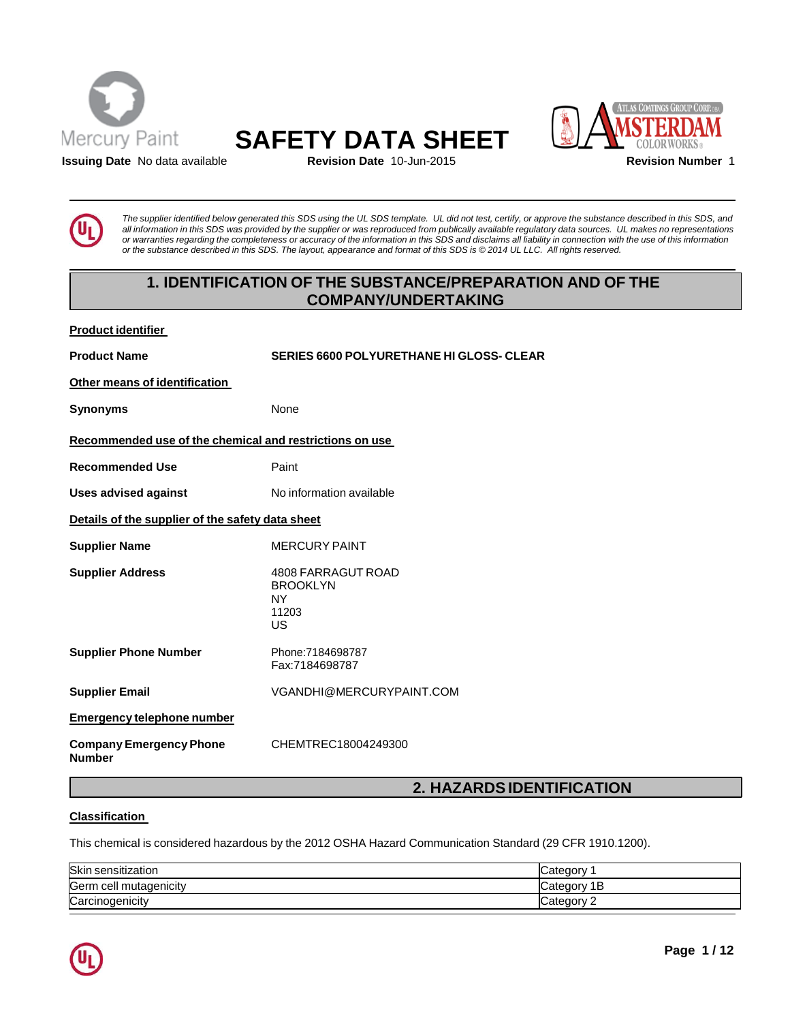





**Issuing Date** No data available **Revision Date** 10-Jun-2015 **Revision Number** 1

The supplier identified below generated this SDS using the UL SDS template. UL did not test, certify, or approve the substance described in this SDS, and all information in this SDS was provided by the supplier or was reproduced from publically available regulatory data sources. UL makes no representations or warranties regarding the completeness or accuracy of the information in this SDS and disclaims all liability in connection with the use of this information or the substance described in this SDS. The layout, appearance and format of this SDS is @2014 UL LLC. All rights reserved.

# **1. IDENTIFICATION OF THE SUBSTANCE/PREPARATION AND OF THE COMPANY/UNDERTAKING**

| <b>Product identifier</b> |
|---------------------------|
|                           |

**Product Name SERIES 6600 POLYURETHANE HI GLOSS- CLEAR Other means of identification Synonyms** None **Recommended use of the chemical and restrictions on use Recommended Use** Paint **Uses advised against** No information available **Details of the supplier of the safety data sheet Supplier Name** MERCURY PAINT **Supplier Address** 4808 FARRAGUT ROAD BROOKLYN NY 11203 US **Supplier Phone Number** Phone:7184698787 Fax:7184698787 **Supplier Email** [VGANDHI@MERCURYPAINT.COM](mailto:VGANDHI@MERCURYPAINT.COM) **Emergency telephone number Company Emergency Phone Number** CHEMTREC18004249300

## **2. HAZARDSIDENTIFICATION**

## **Classification**

This chemical is considered hazardous by the 2012 OSHA Hazard Communication Standard (29 CFR 1910.1200).

| Skin sensitization          | Category    |
|-----------------------------|-------------|
| Germ<br>ı cell mutaqenicitv | Category 1B |
| Carcinogenicity             | Category    |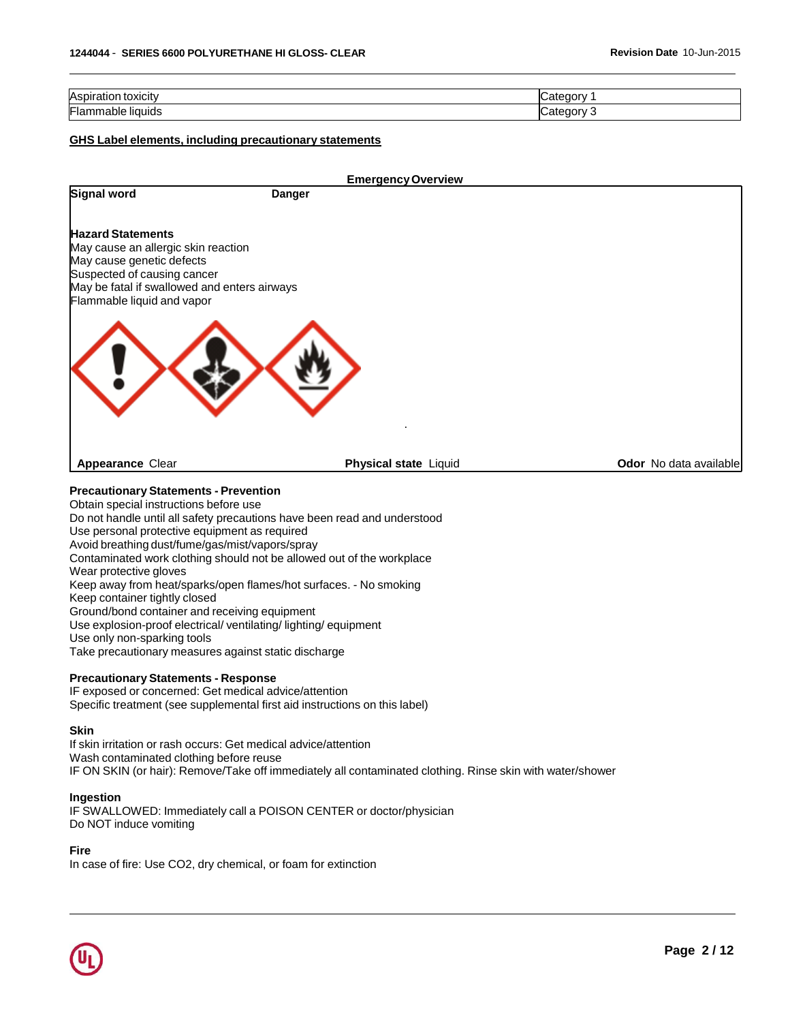| Aspir<br>toxicity     |  |
|-----------------------|--|
| Flamm<br>Tiquids<br>. |  |

## **GHS Label elements, including precautionary statements**

|                                                                                                                                                                                                                         |        | <b>Emergency Overview</b> |  |                        |
|-------------------------------------------------------------------------------------------------------------------------------------------------------------------------------------------------------------------------|--------|---------------------------|--|------------------------|
| Signal word                                                                                                                                                                                                             | Danger |                           |  |                        |
| <b>Hazard Statements</b><br>May cause an allergic skin reaction<br>May cause genetic defects<br>Suspected of causing cancer<br>May be fatal if swallowed and enters airways<br>Flammable liquid and vapor               |        |                           |  |                        |
| <b>Appearance Clear</b>                                                                                                                                                                                                 |        | Physical state Liquid     |  | Odor No data available |
|                                                                                                                                                                                                                         |        |                           |  |                        |
| <b>Precautionary Statements - Prevention</b><br>Obtain special instructions before use                                                                                                                                  |        |                           |  |                        |
| Do not handle until all safety precautions have been read and understood                                                                                                                                                |        |                           |  |                        |
| Use personal protective equipment as required<br>Avoid breathing dust/fume/gas/mist/vapors/spray                                                                                                                        |        |                           |  |                        |
| Contaminated work clothing should not be allowed out of the workplace                                                                                                                                                   |        |                           |  |                        |
| Wear protective gloves<br>Keep away from heat/sparks/open flames/hot surfaces. - No smoking                                                                                                                             |        |                           |  |                        |
| Keep container tightly closed                                                                                                                                                                                           |        |                           |  |                        |
| Ground/bond container and receiving equipment<br>Use explosion-proof electrical/ ventilating/ lighting/ equipment                                                                                                       |        |                           |  |                        |
| Use only non-sparking tools                                                                                                                                                                                             |        |                           |  |                        |
| Take precautionary measures against static discharge                                                                                                                                                                    |        |                           |  |                        |
| <b>Precautionary Statements - Response</b><br>IF exposed or concerned: Get medical advice/attention                                                                                                                     |        |                           |  |                        |
| Specific treatment (see supplemental first aid instructions on this label)                                                                                                                                              |        |                           |  |                        |
| Skin                                                                                                                                                                                                                    |        |                           |  |                        |
| If skin irritation or rash occurs: Get medical advice/attention<br>Wash contaminated clothing before reuse<br>IF ON SKIN (or hair): Remove/Take off immediately all contaminated clothing. Rinse skin with water/shower |        |                           |  |                        |
| Ingestion                                                                                                                                                                                                               |        |                           |  |                        |
| IF SWALLOWED: Immediately call a POISON CENTER or doctor/physician<br>Do NOT induce vomiting                                                                                                                            |        |                           |  |                        |
| <b>Fire</b>                                                                                                                                                                                                             |        |                           |  |                        |

In case of fire: Use CO2, dry chemical, or foam for extinction

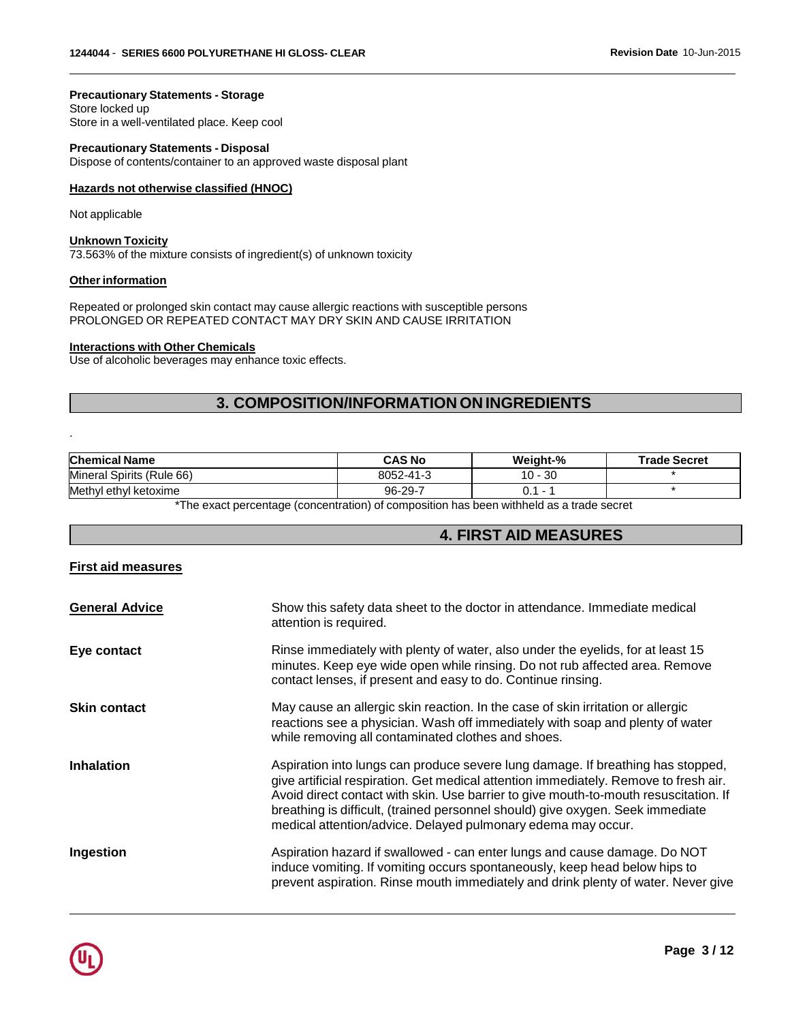**Precautionary Statements - Storage** Store locked up Store in a well-ventilated place. Keep cool

**Precautionary Statements - Disposal** Dispose of contents/container to an approved waste disposal plant

#### **Hazards not otherwise classified (HNOC)**

Not applicable

.

#### **Unknown Toxicity**

73.563% of the mixture consists of ingredient(s) of unknown toxicity

#### **Other information**

Repeated or prolonged skin contact may cause allergic reactions with susceptible persons PROLONGED OR REPEATED CONTACT MAY DRY SKIN AND CAUSE IRRITATION

#### **Interactions with Other Chemicals**

Use of alcoholic beverages may enhance toxic effects.

## **3. COMPOSITION/INFORMATION ON INGREDIENTS**

| <b>Chemical Name</b>      | <b>CAS No</b> | Weight-%     | <b>Trade Secret</b> |
|---------------------------|---------------|--------------|---------------------|
| Mineral Spirits (Rule 66) | 8052-41-3     | 30<br>$10 -$ |                     |
| Methyl ethyl ketoxime     | $96 - 29 -$   |              |                     |

\*The exact percentage (concentration) of composition has been withheld as a trade secret

## **4. FIRST AID MEASURES**

#### **First aid measures**

| <b>General Advice</b> | Show this safety data sheet to the doctor in attendance. Immediate medical<br>attention is required.                                                                                                                                                                                                                                                                                                              |
|-----------------------|-------------------------------------------------------------------------------------------------------------------------------------------------------------------------------------------------------------------------------------------------------------------------------------------------------------------------------------------------------------------------------------------------------------------|
| Eye contact           | Rinse immediately with plenty of water, also under the eyelids, for at least 15<br>minutes. Keep eye wide open while rinsing. Do not rub affected area. Remove<br>contact lenses, if present and easy to do. Continue rinsing.                                                                                                                                                                                    |
| <b>Skin contact</b>   | May cause an allergic skin reaction. In the case of skin irritation or allergic<br>reactions see a physician. Wash off immediately with soap and plenty of water<br>while removing all contaminated clothes and shoes.                                                                                                                                                                                            |
| <b>Inhalation</b>     | Aspiration into lungs can produce severe lung damage. If breathing has stopped,<br>give artificial respiration. Get medical attention immediately. Remove to fresh air.<br>Avoid direct contact with skin. Use barrier to give mouth-to-mouth resuscitation. If<br>breathing is difficult, (trained personnel should) give oxygen. Seek immediate<br>medical attention/advice. Delayed pulmonary edema may occur. |
| Ingestion             | Aspiration hazard if swallowed - can enter lungs and cause damage. Do NOT<br>induce vomiting. If vomiting occurs spontaneously, keep head below hips to<br>prevent aspiration. Rinse mouth immediately and drink plenty of water. Never give                                                                                                                                                                      |

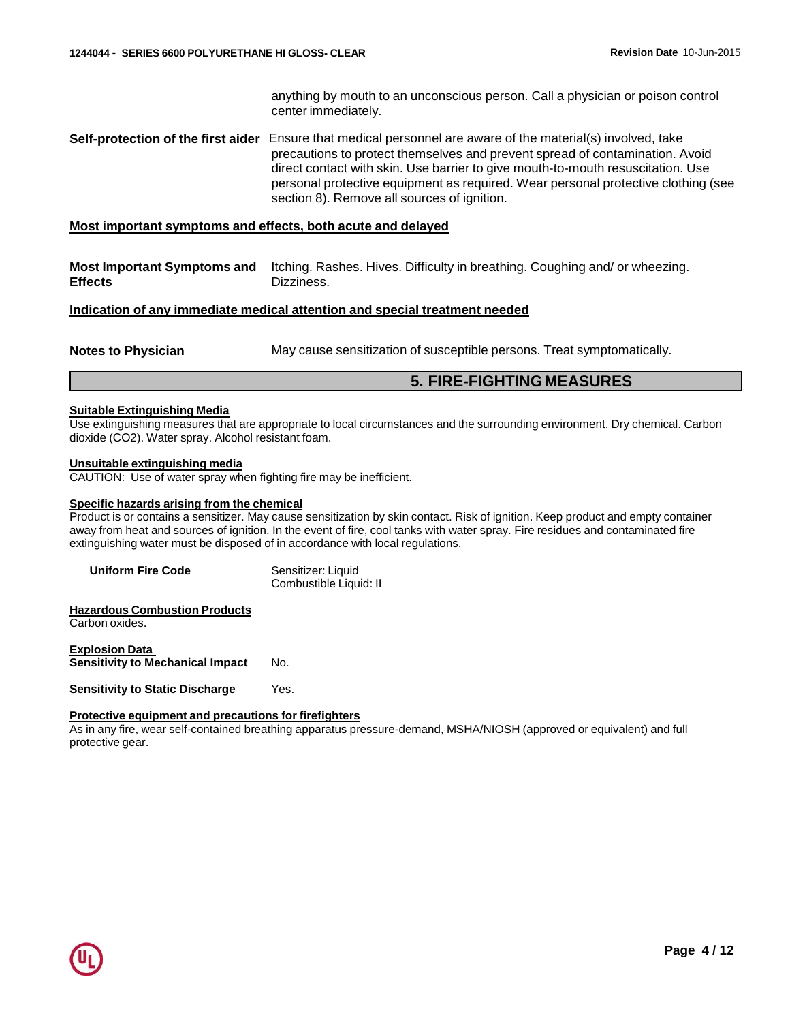anything by mouth to an unconscious person. Call a physician or poison control center immediately. **Self-protection of the first aider** Ensure that medical personnel are aware of the material(s) involved, take precautions to protect themselves and prevent spread of contamination. Avoid direct contact with skin. Use barrier to give mouth-to-mouth resuscitation. Use personal protective equipment as required. Wear personal protective clothing (see section 8). Remove all sources of ignition. **Most important symptoms and effects, both acute and delayed Most Important Symptoms and Effects** Itching. Rashes. Hives. Difficulty in breathing. Coughing and/ or wheezing. Dizziness. **Indication of any immediate medical attention and special treatment needed Notes to Physician** May cause sensitization of susceptible persons. Treat symptomatically.

## **5. FIRE-FIGHTING MEASURES**

#### **Suitable Extinguishing Media**

Use extinguishing measures that are appropriate to local circumstances and the surrounding environment. Dry chemical. Carbon dioxide (CO2). Water spray. Alcohol resistant foam.

#### **Unsuitable extinguishing media**

CAUTION: Use of water spray when fighting fire may be inefficient.

#### **Specific hazards arising from the chemical**

Product is or contains a sensitizer. May cause sensitization by skin contact. Risk of ignition. Keep product and empty container away from heat and sources of ignition. In the event of fire, cool tanks with water spray. Fire residues and contaminated fire extinguishing water must be disposed of in accordance with local regulations.

| <b>Uniform Fire Code</b> | Sensitizer: Liquid     |
|--------------------------|------------------------|
|                          | Combustible Liquid: II |

#### **Hazardous Combustion Products** Carbon oxides.

**Explosion Data Sensitivity to Mechanical Impact** No.

**Sensitivity to Static Discharge** Yes.

#### **Protective equipment and precautions for firefighters**

As in any fire, wear self-contained breathing apparatus pressure-demand, MSHA/NIOSH (approved or equivalent) and full protective gear.

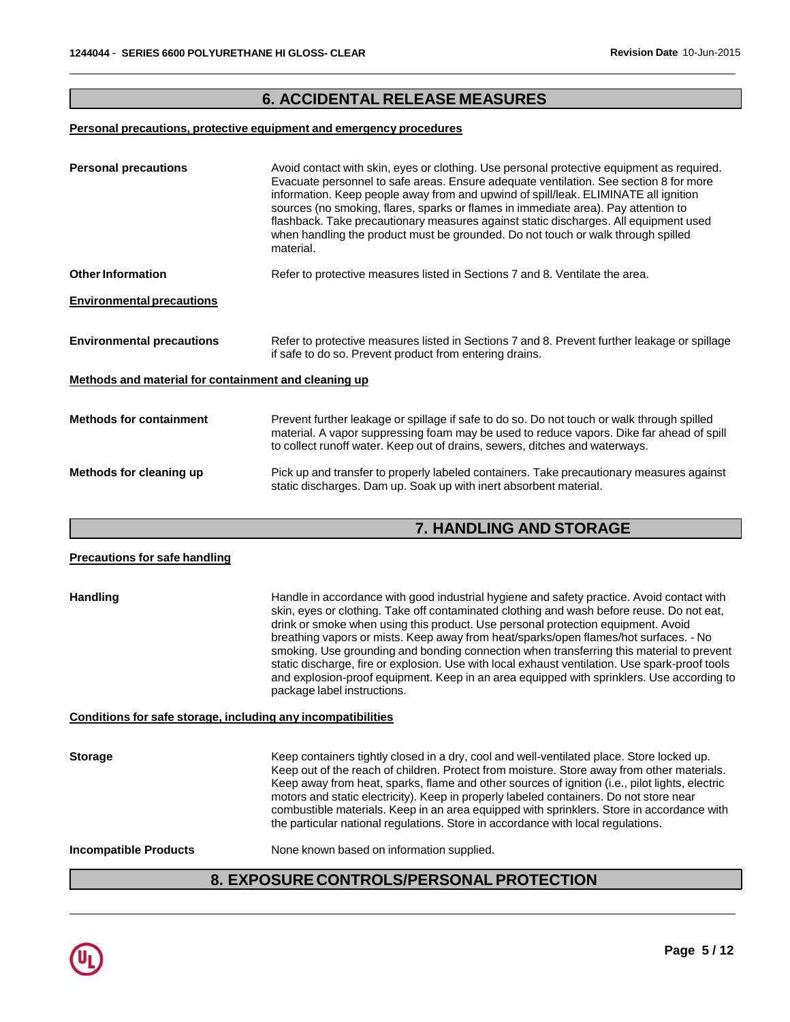# **6. ACCIDENTAL RELEASE MEASURES**

## **Personal precautions, protective equipment and emergency procedures**

| <b>Personal precautions</b>                          | Avoid contact with skin, eyes or clothing. Use personal protective equipment as required.<br>Evacuate personnel to safe areas. Ensure adequate ventilation. See section 8 for more<br>information. Keep people away from and upwind of spill/leak. ELIMINATE all ignition<br>sources (no smoking, flares, sparks or flames in immediate area). Pay attention to<br>flashback. Take precautionary measures against static discharges. All equipment used<br>when handling the product must be grounded. Do not touch or walk through spilled<br>material. |  |
|------------------------------------------------------|----------------------------------------------------------------------------------------------------------------------------------------------------------------------------------------------------------------------------------------------------------------------------------------------------------------------------------------------------------------------------------------------------------------------------------------------------------------------------------------------------------------------------------------------------------|--|
| <b>Other Information</b>                             | Refer to protective measures listed in Sections 7 and 8. Ventilate the area.                                                                                                                                                                                                                                                                                                                                                                                                                                                                             |  |
| <b>Environmental precautions</b>                     |                                                                                                                                                                                                                                                                                                                                                                                                                                                                                                                                                          |  |
| <b>Environmental precautions</b>                     | Refer to protective measures listed in Sections 7 and 8. Prevent further leakage or spillage<br>if safe to do so. Prevent product from entering drains.                                                                                                                                                                                                                                                                                                                                                                                                  |  |
| Methods and material for containment and cleaning up |                                                                                                                                                                                                                                                                                                                                                                                                                                                                                                                                                          |  |
| <b>Methods for containment</b>                       | Prevent further leakage or spillage if safe to do so. Do not touch or walk through spilled<br>material. A vapor suppressing foam may be used to reduce vapors. Dike far ahead of spill<br>to collect runoff water. Keep out of drains, sewers, ditches and waterways.                                                                                                                                                                                                                                                                                    |  |
| Methods for cleaning up                              | Pick up and transfer to properly labeled containers. Take precautionary measures against<br>static discharges. Dam up. Soak up with inert absorbent material.                                                                                                                                                                                                                                                                                                                                                                                            |  |
|                                                      | <b>7. HANDLING AND STORAGE</b>                                                                                                                                                                                                                                                                                                                                                                                                                                                                                                                           |  |

| <b>Precautions for safe handling</b> |                                                                                                                                                                                                                                                                                                                                                                                                                                                                                                                                                                                                                                                                                              |
|--------------------------------------|----------------------------------------------------------------------------------------------------------------------------------------------------------------------------------------------------------------------------------------------------------------------------------------------------------------------------------------------------------------------------------------------------------------------------------------------------------------------------------------------------------------------------------------------------------------------------------------------------------------------------------------------------------------------------------------------|
| <b>Handling</b>                      | Handle in accordance with good industrial hygiene and safety practice. Avoid contact with<br>skin, eyes or clothing. Take off contaminated clothing and wash before reuse. Do not eat,<br>drink or smoke when using this product. Use personal protection equipment. Avoid<br>breathing vapors or mists. Keep away from heat/sparks/open flames/hot surfaces. - No<br>smoking. Use grounding and bonding connection when transferring this material to prevent<br>static discharge, fire or explosion. Use with local exhaust ventilation. Use spark-proof tools<br>and explosion-proof equipment. Keep in an area equipped with sprinklers. Use according to<br>package label instructions. |
|                                      | Conditions for safe storage, including any incompatibilities                                                                                                                                                                                                                                                                                                                                                                                                                                                                                                                                                                                                                                 |
| <b>Storage</b>                       | Keep containers tightly closed in a dry, cool and well-ventilated place. Store locked up.<br>Keep out of the reach of children. Protect from moisture. Store away from other materials.<br>Keep away from heat, sparks, flame and other sources of ignition (i.e., pilot lights, electric<br>motors and static electricity). Keep in properly labeled containers. Do not store near<br>combustible materials. Keep in an area equipped with sprinklers. Store in accordance with<br>the particular national regulations. Store in accordance with local regulations.                                                                                                                         |
| <b>Incompatible Products</b>         | None known based on information supplied.                                                                                                                                                                                                                                                                                                                                                                                                                                                                                                                                                                                                                                                    |

# **8. EXPOSURE CONTROLS/PERSONALPROTECTION**

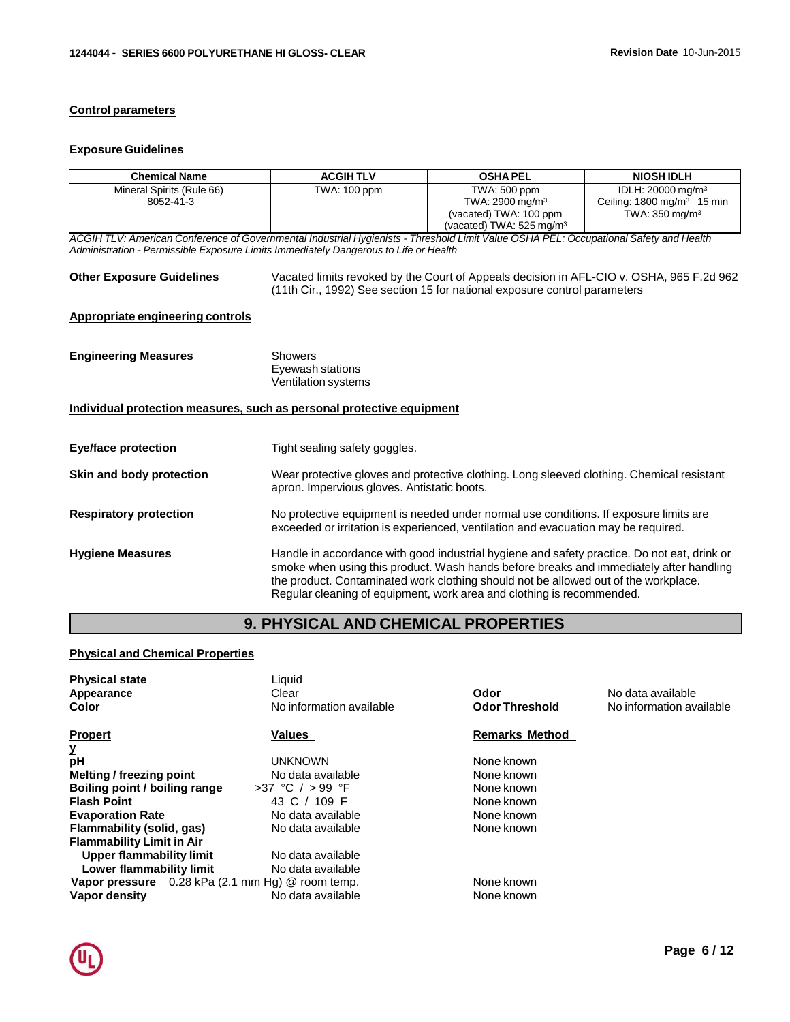## **Control parameters**

#### **Exposure Guidelines**

| <b>Chemical Name</b>                                                                                                                                                                                                          | <b>ACGIHTLV</b>                                                  | <b>OSHA PEL</b>                                                                                                                                                                                                                                                                                                                                       | <b>NIOSH IDLH</b>                                                                                      |
|-------------------------------------------------------------------------------------------------------------------------------------------------------------------------------------------------------------------------------|------------------------------------------------------------------|-------------------------------------------------------------------------------------------------------------------------------------------------------------------------------------------------------------------------------------------------------------------------------------------------------------------------------------------------------|--------------------------------------------------------------------------------------------------------|
| Mineral Spirits (Rule 66)<br>8052-41-3                                                                                                                                                                                        | TWA: 100 ppm                                                     | TWA: 500 ppm<br>TWA: 2900 mg/m <sup>3</sup><br>(vacated) TWA: 100 ppm<br>(vacated) TWA: 525 mg/m <sup>3</sup>                                                                                                                                                                                                                                         | IDLH: 20000 mg/m <sup>3</sup><br>Ceiling: $1800 \text{ mg/m}^3$ 15 min<br>TWA: $350$ mg/m <sup>3</sup> |
| ACGIH TLV: American Conference of Governmental Industrial Hygienists - Threshold Limit Value OSHA PEL: Occupational Safety and Health<br>Administration - Permissible Exposure Limits Immediately Dangerous to Life or Health |                                                                  |                                                                                                                                                                                                                                                                                                                                                       |                                                                                                        |
| <b>Other Exposure Guidelines</b>                                                                                                                                                                                              |                                                                  | Vacated limits revoked by the Court of Appeals decision in AFL-CIO v. OSHA, 965 F.2d 962<br>(11th Cir., 1992) See section 15 for national exposure control parameters                                                                                                                                                                                 |                                                                                                        |
| <b>Appropriate engineering controls</b>                                                                                                                                                                                       |                                                                  |                                                                                                                                                                                                                                                                                                                                                       |                                                                                                        |
| <b>Engineering Measures</b>                                                                                                                                                                                                   | <b>Showers</b><br>Eyewash stations<br><b>Ventilation systems</b> |                                                                                                                                                                                                                                                                                                                                                       |                                                                                                        |
| Individual protection measures, such as personal protective equipment                                                                                                                                                         |                                                                  |                                                                                                                                                                                                                                                                                                                                                       |                                                                                                        |
| <b>Eye/face protection</b>                                                                                                                                                                                                    | Tight sealing safety goggles.                                    |                                                                                                                                                                                                                                                                                                                                                       |                                                                                                        |
| Skin and body protection                                                                                                                                                                                                      | apron. Impervious gloves. Antistatic boots.                      | Wear protective gloves and protective clothing. Long sleeved clothing. Chemical resistant                                                                                                                                                                                                                                                             |                                                                                                        |
| <b>Respiratory protection</b>                                                                                                                                                                                                 |                                                                  | No protective equipment is needed under normal use conditions. If exposure limits are<br>exceeded or irritation is experienced, ventilation and evacuation may be required.                                                                                                                                                                           |                                                                                                        |
| <b>Hygiene Measures</b>                                                                                                                                                                                                       |                                                                  | Handle in accordance with good industrial hygiene and safety practice. Do not eat, drink or<br>smoke when using this product. Wash hands before breaks and immediately after handling<br>the product. Contaminated work clothing should not be allowed out of the workplace.<br>Regular cleaning of equipment, work area and clothing is recommended. |                                                                                                        |

# **9. PHYSICAL AND CHEMICAL PROPERTIES**

## **Physical and Chemical Properties**

| <b>Physical state</b><br>Appearance<br>Color     | Liquid<br>Clear<br>No information available | Odor<br><b>Odor Threshold</b> | No data available<br>No information available |
|--------------------------------------------------|---------------------------------------------|-------------------------------|-----------------------------------------------|
| <b>Propert</b>                                   | Values                                      | <b>Remarks Method</b>         |                                               |
| У                                                |                                             |                               |                                               |
| рH                                               | UNKNOWN                                     | None known                    |                                               |
| <b>Melting / freezing point</b>                  | No data available                           | None known                    |                                               |
| Boiling point / boiling range                    | >37 °C / > 99 °F                            | None known                    |                                               |
| <b>Flash Point</b>                               | 43 C / 109 F                                | None known                    |                                               |
| <b>Evaporation Rate</b>                          | No data available                           | None known                    |                                               |
| Flammability (solid, gas)                        | No data available                           | None known                    |                                               |
| <b>Flammability Limit in Air</b>                 |                                             |                               |                                               |
| Upper flammability limit                         | No data available                           |                               |                                               |
| Lower flammability limit                         | No data available                           |                               |                                               |
| Vapor pressure 0.28 kPa (2.1 mm Hg) @ room temp. |                                             | None known                    |                                               |
| Vapor density                                    | No data available                           | None known                    |                                               |
|                                                  |                                             |                               |                                               |

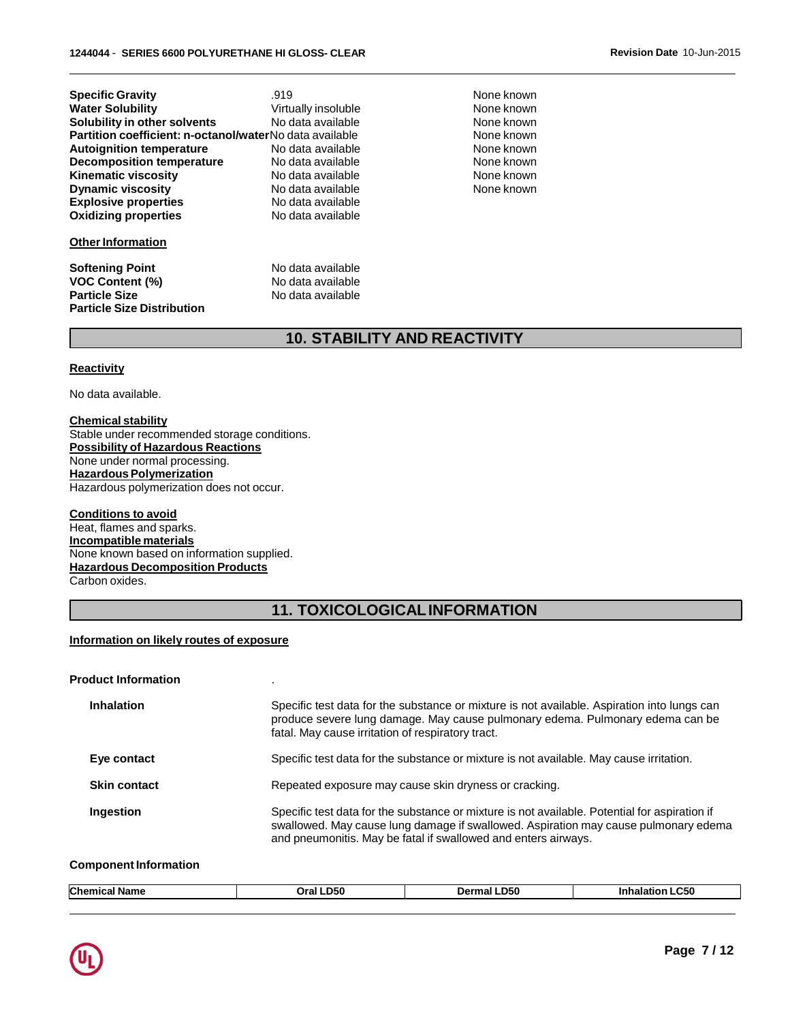| <b>Specific Gravity</b>                                 | .919                |
|---------------------------------------------------------|---------------------|
| <b>Water Solubility</b>                                 | Virtually insoluble |
| Solubility in other solvents                            | No data available   |
| Partition coefficient: n-octanol/waterNo data available |                     |
| <b>Autoignition temperature</b>                         | No data available   |
| <b>Decomposition temperature</b>                        | No data available   |
| <b>Kinematic viscosity</b>                              | No data available   |
| <b>Dynamic viscosity</b>                                | No data available   |
| <b>Explosive properties</b>                             | No data available   |
| <b>Oxidizing properties</b>                             | No data available   |
|                                                         |                     |

#### **Other Information**

**Softening Point** No data available **VOC Content (%)** No data available **Particle Size** No data available **Particle Size Distribution**

**None known None known None known None known None known** None known None known None known

# **10. STABILITY AND REACTIVITY**

#### **Reactivity**

No data available.

#### **Chemical stability** Stable under recommended storage conditions. **Possibility of Hazardous Reactions** None under normal processing. **Hazardous Polymerization** Hazardous polymerization does not occur.

#### **Conditions to avoid** Heat, flames and sparks. **Incompatible materials** None known based on information supplied. **Hazardous Decomposition Products**

Carbon oxides.

# **11. TOXICOLOGICALINFORMATION**

#### **Information on likely routes of exposure**

#### **Product Information** .

| <b>Inhalation</b>   | Specific test data for the substance or mixture is not available. Aspiration into lungs can<br>produce severe lung damage. May cause pulmonary edema. Pulmonary edema can be<br>fatal. May cause irritation of respiratory tract.                      |
|---------------------|--------------------------------------------------------------------------------------------------------------------------------------------------------------------------------------------------------------------------------------------------------|
| Eye contact         | Specific test data for the substance or mixture is not available. May cause irritation.                                                                                                                                                                |
| <b>Skin contact</b> | Repeated exposure may cause skin dryness or cracking.                                                                                                                                                                                                  |
| Ingestion           | Specific test data for the substance or mixture is not available. Potential for aspiration if<br>swallowed. May cause lung damage if swallowed. Aspiration may cause pulmonary edema<br>and pneumonitis. May be fatal if swallowed and enters airways. |

#### **Component Information**

| <b>Chem</b><br>ше | <b>D50</b><br>∩ral<br>_____ | <b>D50</b><br>.)erm <sup>.</sup> | <b>.C50</b><br>---<br>ınn<br>. |  |
|-------------------|-----------------------------|----------------------------------|--------------------------------|--|
|                   |                             |                                  |                                |  |

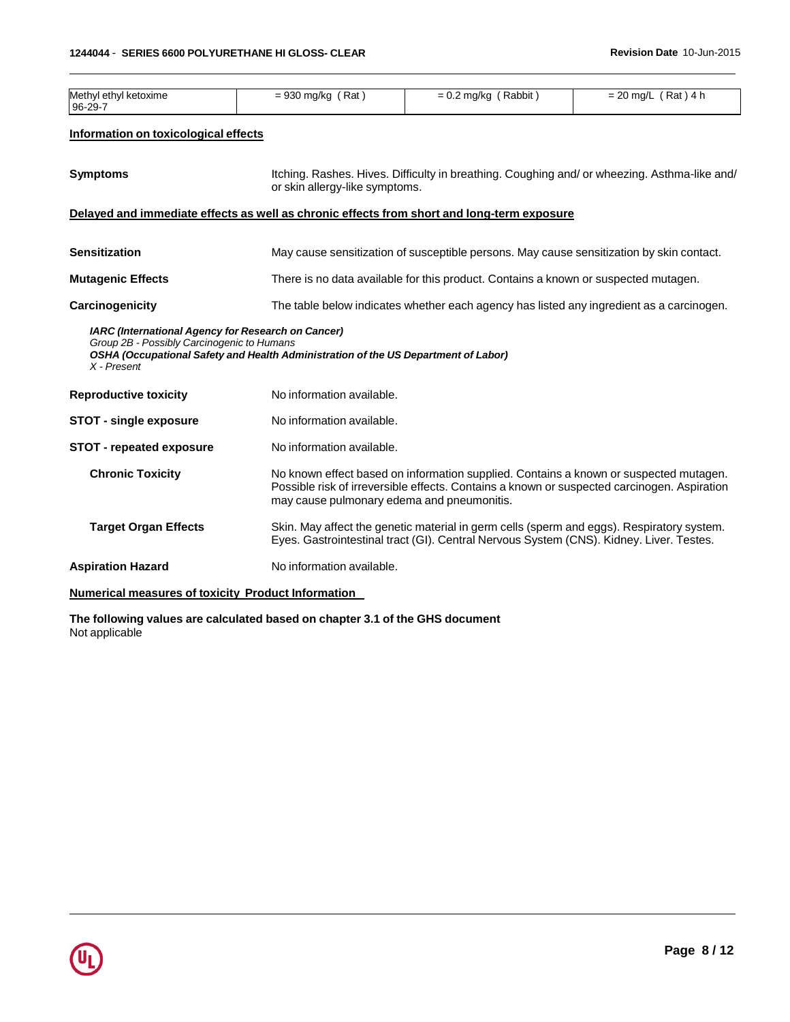| Methyl ethyl ketoxime<br>96-29-7                                                                                       | $= 930$ mg/kg (Rat)                                                                | $= 0.2$ mg/kg (Rabbit)                                                                                                                                                               | $= 20$ mg/L (Rat) 4 h |  |  |
|------------------------------------------------------------------------------------------------------------------------|------------------------------------------------------------------------------------|--------------------------------------------------------------------------------------------------------------------------------------------------------------------------------------|-----------------------|--|--|
| Information on toxicological effects                                                                                   |                                                                                    |                                                                                                                                                                                      |                       |  |  |
| <b>Symptoms</b>                                                                                                        |                                                                                    | Itching. Rashes. Hives. Difficulty in breathing. Coughing and/or wheezing. Asthma-like and/<br>or skin allergy-like symptoms.                                                        |                       |  |  |
|                                                                                                                        |                                                                                    | Delayed and immediate effects as well as chronic effects from short and long-term exposure                                                                                           |                       |  |  |
| <b>Sensitization</b>                                                                                                   |                                                                                    | May cause sensitization of susceptible persons. May cause sensitization by skin contact.                                                                                             |                       |  |  |
| <b>Mutagenic Effects</b>                                                                                               |                                                                                    | There is no data available for this product. Contains a known or suspected mutagen.                                                                                                  |                       |  |  |
| Carcinogenicity                                                                                                        |                                                                                    | The table below indicates whether each agency has listed any ingredient as a carcinogen.                                                                                             |                       |  |  |
| <b>IARC (International Agency for Research on Cancer)</b><br>Group 2B - Possibly Carcinogenic to Humans<br>X - Present | OSHA (Occupational Safety and Health Administration of the US Department of Labor) |                                                                                                                                                                                      |                       |  |  |
| <b>Reproductive toxicity</b>                                                                                           | No information available.                                                          |                                                                                                                                                                                      |                       |  |  |
| <b>STOT - single exposure</b>                                                                                          | No information available.                                                          |                                                                                                                                                                                      |                       |  |  |
| <b>STOT - repeated exposure</b>                                                                                        | No information available.                                                          |                                                                                                                                                                                      |                       |  |  |
| <b>Chronic Toxicity</b>                                                                                                | may cause pulmonary edema and pneumonitis.                                         | No known effect based on information supplied. Contains a known or suspected mutagen.<br>Possible risk of irreversible effects. Contains a known or suspected carcinogen. Aspiration |                       |  |  |
| <b>Target Organ Effects</b>                                                                                            |                                                                                    | Skin. May affect the genetic material in germ cells (sperm and eggs). Respiratory system.<br>Eyes. Gastrointestinal tract (GI). Central Nervous System (CNS). Kidney. Liver. Testes. |                       |  |  |
| <b>Aspiration Hazard</b>                                                                                               | No information available.                                                          |                                                                                                                                                                                      |                       |  |  |
|                                                                                                                        |                                                                                    |                                                                                                                                                                                      |                       |  |  |

## **Numerical measures of toxicity Product Information**

**The following values are calculated based on chapter 3.1 of the GHS document** Not applicable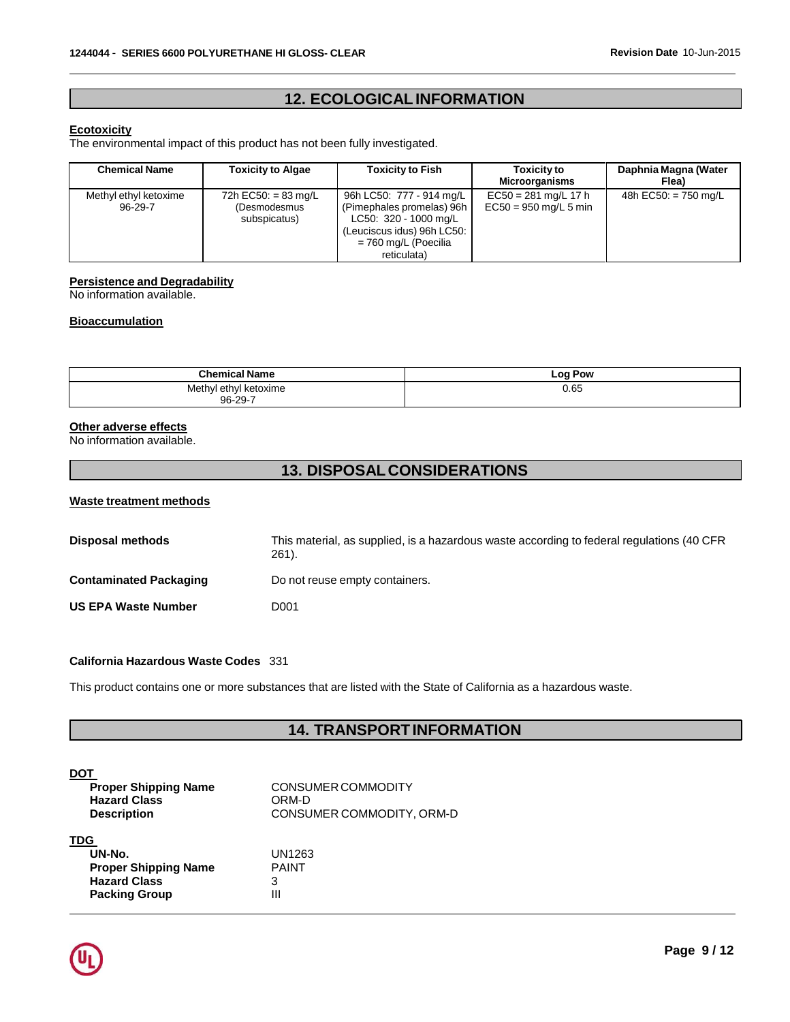# **12. ECOLOGICALINFORMATION**

#### **Ecotoxicity**

The environmental impact of this product has not been fully investigated.

| <b>Chemical Name</b>                   | <b>Toxicity to Algae</b>                            | <b>Toxicity to Fish</b>                                                                                                                               | <b>Toxicity to</b><br>Microorganisms              | Daphnia Magna (Water<br>Flea) |
|----------------------------------------|-----------------------------------------------------|-------------------------------------------------------------------------------------------------------------------------------------------------------|---------------------------------------------------|-------------------------------|
| Methyl ethyl ketoxime<br>$96 - 29 - 7$ | 72h EC50: = 83 mg/L<br>(Desmodesmus<br>subspicatus) | 96h LC50: 777 - 914 mg/L<br>(Pimephales promelas) 96h<br>LC50: 320 - 1000 mg/L<br>(Leuciscus idus) 96h LC50:  <br>= 760 mg/L (Poecilia<br>reticulata) | $EC50 = 281$ mg/L 17 h<br>$EC50 = 950$ mg/L 5 min | 48h EC50: $= 750$ mg/L        |

#### **Persistence and Degradability**

No information available.

#### **Bioaccumulation**

| <b>Chemical Name</b>                                   | <b>Log Pow</b><br>__ |
|--------------------------------------------------------|----------------------|
| Methyl<br>ethvl<br>l ketoxime<br>____<br>$96 - 29 - 7$ | 0.65                 |

## **Other adverse effects**

No information available.

# **13. DISPOSALCONSIDERATIONS**

#### **Waste treatment methods**

| <b>Disposal methods</b>       | This material, as supplied, is a hazardous waste according to federal regulations (40 CFR)<br>$261$ . |
|-------------------------------|-------------------------------------------------------------------------------------------------------|
| <b>Contaminated Packaging</b> | Do not reuse empty containers.                                                                        |
| <b>US EPA Waste Number</b>    | D001                                                                                                  |

#### **California Hazardous Waste Codes** 331

This product contains one or more substances that are listed with the State of California as a hazardous waste.

## **14. TRANSPORTINFORMATION**

| DOT                         |                           |
|-----------------------------|---------------------------|
| <b>Proper Shipping Name</b> | CONSUMER COMMODITY        |
| <b>Hazard Class</b>         | ORM-D                     |
| <b>Description</b>          | CONSUMER COMMODITY, ORM-D |
| TDC                         |                           |

#### **TDG**

| UN-No.                      | U  |
|-----------------------------|----|
| <b>Proper Shipping Name</b> | P, |
| <b>Hazard Class</b>         | 3  |
| <b>Packing Group</b>        | Ш  |

**UN-No.** UN1263 **PAINT** 

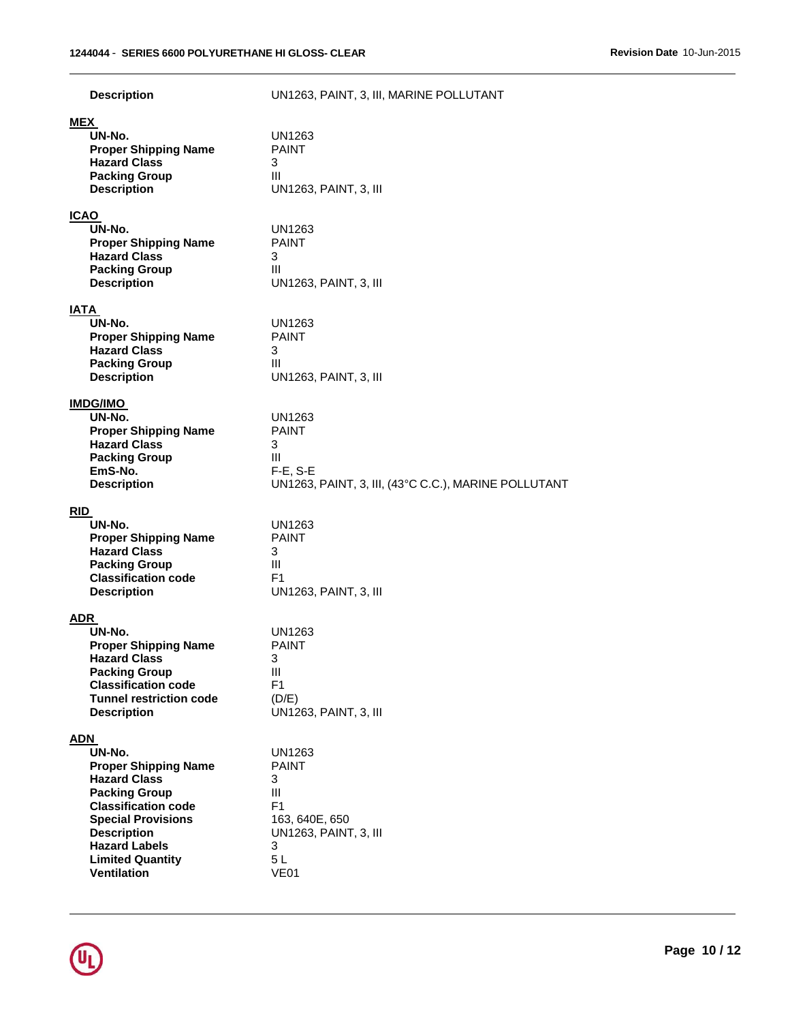| <b>Description</b>                                                                                                                                                                                                                                           | UN1263, PAINT, 3, III, MARINE POLLUTANT                                                                                        |
|--------------------------------------------------------------------------------------------------------------------------------------------------------------------------------------------------------------------------------------------------------------|--------------------------------------------------------------------------------------------------------------------------------|
| <b>MEX</b><br>UN-No.<br><b>Proper Shipping Name</b><br><b>Hazard Class</b><br><b>Packing Group</b><br><b>Description</b>                                                                                                                                     | UN1263<br><b>PAINT</b><br>3<br>Ш<br>UN1263, PAINT, 3, III                                                                      |
| <b>ICAO</b><br>UN-No.<br><b>Proper Shipping Name</b><br><b>Hazard Class</b><br><b>Packing Group</b><br><b>Description</b>                                                                                                                                    | <b>UN1263</b><br><b>PAINT</b><br>3<br>Ш<br>UN1263, PAINT, 3, III                                                               |
| <b>IATA</b><br>UN-No.<br><b>Proper Shipping Name</b><br><b>Hazard Class</b><br><b>Packing Group</b><br><b>Description</b>                                                                                                                                    | UN1263<br><b>PAINT</b><br>3<br>Ш<br>UN1263, PAINT, 3, III                                                                      |
| <b>IMDG/IMO</b><br>UN-No.<br><b>Proper Shipping Name</b><br><b>Hazard Class</b><br><b>Packing Group</b><br>EmS-No.<br><b>Description</b>                                                                                                                     | UN1263<br><b>PAINT</b><br>3<br>Ш<br>$F-E$ , S-E<br>UN1263, PAINT, 3, III, (43°C C.C.), MARINE POLLUTANT                        |
| <b>RID</b><br>UN-No.<br><b>Proper Shipping Name</b><br><b>Hazard Class</b><br><b>Packing Group</b><br><b>Classification code</b><br><b>Description</b>                                                                                                       | UN1263<br><b>PAINT</b><br>3<br>$\mathbf{III}$<br>F <sub>1</sub><br>UN1263, PAINT, 3, III                                       |
| <b>ADR</b><br>UN-No.<br><b>Proper Shipping Name</b><br><b>Hazard Class</b><br><b>Packing Group</b><br><b>Classification code</b><br><b>Tunnel restriction code</b><br><b>Description</b>                                                                     | UN1263<br><b>PAINT</b><br>3<br>Ш<br>F1<br>(D/E)<br>UN1263, PAINT, 3, III                                                       |
| <u>ADN</u><br>UN-No.<br><b>Proper Shipping Name</b><br><b>Hazard Class</b><br><b>Packing Group</b><br><b>Classification code</b><br><b>Special Provisions</b><br><b>Description</b><br><b>Hazard Labels</b><br><b>Limited Quantity</b><br><b>Ventilation</b> | <b>UN1263</b><br><b>PAINT</b><br>3<br>Ш<br>F <sub>1</sub><br>163, 640E, 650<br>UN1263, PAINT, 3, III<br>3<br>5L<br><b>VE01</b> |

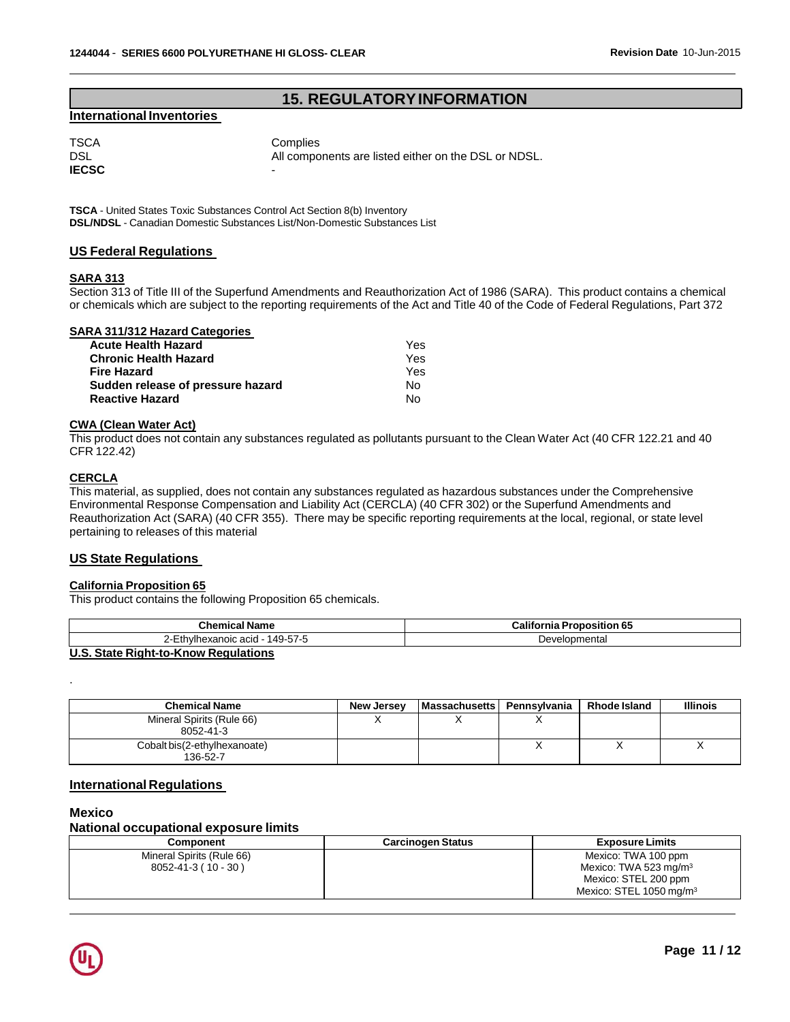## **15. REGULATORYINFORMATION**

### **International Inventories**

TSCA Complies DSL DSL All components are listed either on the DSL or NDSL. **IECSC** 

**TSCA** - United States Toxic Substances Control Act Section 8(b) Inventory **DSL/NDSL** - Canadian Domestic Substances List/Non-Domestic Substances List

#### **US Federal Regulations**

#### **SARA 313**

Section 313 of Title III of the Superfund Amendments and Reauthorization Act of 1986 (SARA). This product contains a chemical or chemicals which are subject to the reporting requirements of the Act and Title 40 of the Code of Federal Regulations, Part 372

#### **SARA 311/312 Hazard Categories**

| <b>Acute Health Hazard</b>        | Yes |
|-----------------------------------|-----|
| <b>Chronic Health Hazard</b>      | Yes |
| <b>Fire Hazard</b>                | Yes |
| Sudden release of pressure hazard | N٥  |
| <b>Reactive Hazard</b>            | N٥  |

#### **CWA (Clean Water Act)**

This product does not contain any substances regulated as pollutants pursuant to the Clean Water Act (40 CFR 122.21 and 40 CFR 122.42)

## **CERCLA**

This material, as supplied, does not contain any substances regulated as hazardous substances under the Comprehensive Environmental Response Compensation and Liability Act (CERCLA) (40 CFR 302) or the Superfund Amendments and Reauthorization Act (SARA) (40 CFR 355). There may be specific reporting requirements at the local, regional, or state level pertaining to releases of this material

#### **US State Regulations**

## **California Proposition 65**

This product contains the following Proposition 65 chemicals.

| <b>Chemical Name</b>                 | <b>California Proposition 65</b> |
|--------------------------------------|----------------------------------|
| 2-Ethylhexanoic acid - 149-57-5      | Developmental                    |
| U.S. State Right-to-Know Regulations |                                  |

.

| <b>Chemical Name</b>                      | <b>New Jersev</b> | <b>Massachusetts</b> | Pennsvlvania | Rhode Island | <b>Illinois</b> |
|-------------------------------------------|-------------------|----------------------|--------------|--------------|-----------------|
| Mineral Spirits (Rule 66)<br>8052-41-3    |                   |                      |              |              |                 |
| Cobalt bis (2-ethylhexanoate)<br>136-52-7 |                   |                      |              |              | $\lambda$       |

### **International Regulations**

#### **Mexico**

#### **National occupational exposure limits**

| <b>Component</b>          | <b>Carcinogen Status</b> | <b>Exposure Limits</b>              |
|---------------------------|--------------------------|-------------------------------------|
| Mineral Spirits (Rule 66) |                          | Mexico: TWA 100 ppm                 |
| $8052 - 41 - 3(10 - 30)$  |                          | Mexico: TWA 523 mg/m <sup>3</sup>   |
|                           |                          | Mexico: STEL 200 ppm                |
|                           |                          | Mexico: STEL 1050 mg/m <sup>3</sup> |